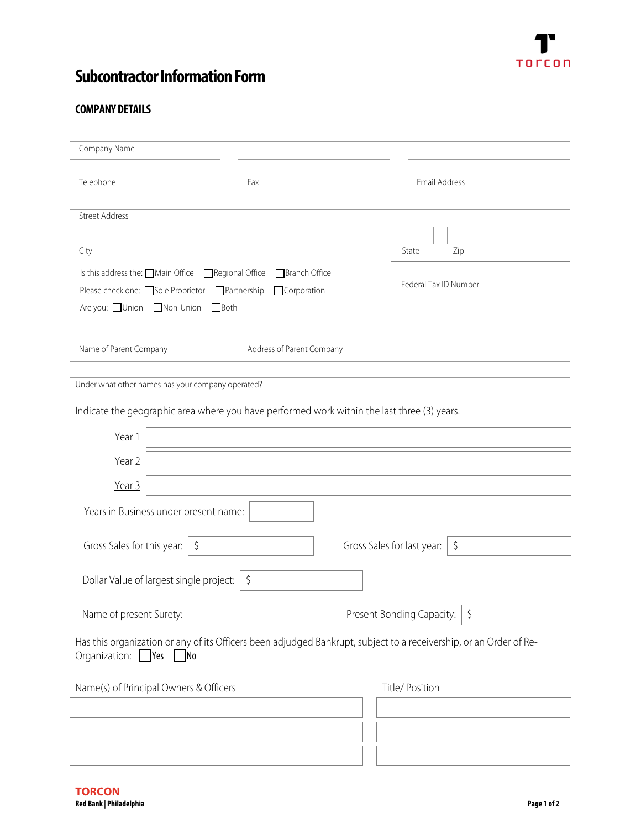

## **Subcontractor Information Form**

## **COMPANY DETAILS**

 $\overline{1}$ 

| Company Name                                                                                                                                   |                                       |
|------------------------------------------------------------------------------------------------------------------------------------------------|---------------------------------------|
|                                                                                                                                                |                                       |
| Telephone<br>Fax                                                                                                                               | Email Address                         |
|                                                                                                                                                |                                       |
| <b>Street Address</b>                                                                                                                          |                                       |
|                                                                                                                                                |                                       |
| City                                                                                                                                           | State<br>Zip                          |
| Regional Office<br>Branch Office<br>Is this address the: Main Office                                                                           |                                       |
| Please check one: □ Sole Proprietor<br>$\Box$ Partnership<br>Corporation                                                                       | Federal Tax ID Number                 |
| Are you: □Union □Non-Union<br>$\Box$ Both                                                                                                      |                                       |
|                                                                                                                                                |                                       |
| Address of Parent Company<br>Name of Parent Company                                                                                            |                                       |
|                                                                                                                                                |                                       |
| Under what other names has your company operated?                                                                                              |                                       |
| Indicate the geographic area where you have performed work within the last three (3) years.                                                    |                                       |
| Year 1                                                                                                                                         |                                       |
| Year 2                                                                                                                                         |                                       |
| Year 3                                                                                                                                         |                                       |
| Years in Business under present name:                                                                                                          |                                       |
| Gross Sales for this year:  <br>$\zeta$                                                                                                        | Gross Sales for last year:<br>$\zeta$ |
| Dollar Value of largest single project:<br>$\zeta$                                                                                             |                                       |
| Name of present Surety:                                                                                                                        | Present Bonding Capacity:<br>$\zeta$  |
| Has this organization or any of its Officers been adjudged Bankrupt, subject to a receivership, or an Order of Re-<br>Organization: Yes<br>1No |                                       |
| Name(s) of Principal Owners & Officers                                                                                                         | Title/ Position                       |
|                                                                                                                                                |                                       |
|                                                                                                                                                |                                       |
|                                                                                                                                                |                                       |